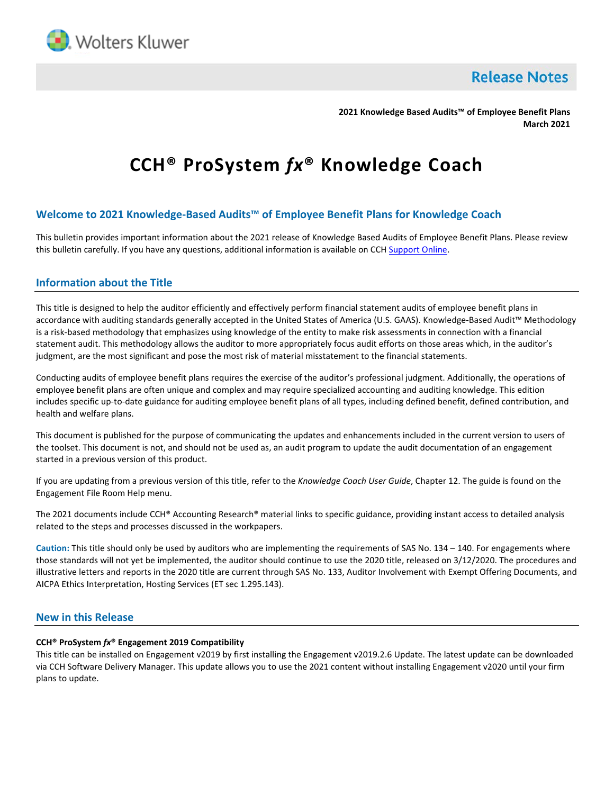

**Release Notes** 

**2021 Knowledge Based Audits™ of Employee Benefit Plans March 2021**

# **CCH® ProSystem** *fx***® Knowledge Coach**

# **Welcome to 2021 Knowledge-Based Audits™ of Employee Benefit Plans for Knowledge Coach**

This bulletin provides important information about the 2021 release of Knowledge Based Audits of Employee Benefit Plans. Please review this bulletin carefully. If you have any questions, additional information is available on CCH [Support Online.](http://support.cch.com/productsupport/)

# **Information about the Title**

This title is designed to help the auditor efficiently and effectively perform financial statement audits of employee benefit plans in accordance with auditing standards generally accepted in the United States of America (U.S. GAAS). Knowledge-Based Audit™ Methodology is a risk-based methodology that emphasizes using knowledge of the entity to make risk assessments in connection with a financial statement audit. This methodology allows the auditor to more appropriately focus audit efforts on those areas which, in the auditor's judgment, are the most significant and pose the most risk of material misstatement to the financial statements.

Conducting audits of employee benefit plans requires the exercise of the auditor's professional judgment. Additionally, the operations of employee benefit plans are often unique and complex and may require specialized accounting and auditing knowledge. This edition includes specific up-to-date guidance for auditing employee benefit plans of all types, including defined benefit, defined contribution, and health and welfare plans.

This document is published for the purpose of communicating the updates and enhancements included in the current version to users of the toolset. This document is not, and should not be used as, an audit program to update the audit documentation of an engagement started in a previous version of this product.

If you are updating from a previous version of this title, refer to the *Knowledge Coach User Guide*, Chapter 12. The guide is found on the Engagement File Room Help menu.

The 2021 documents include CCH® Accounting Research® material links to specific guidance, providing instant access to detailed analysis related to the steps and processes discussed in the workpapers.

**Caution:** This title should only be used by auditors who are implementing the requirements of SAS No. 134 – 140. For engagements where those standards will not yet be implemented, the auditor should continue to use the 2020 title, released on 3/12/2020. The procedures and illustrative letters and reports in the 2020 title are current through SAS No. 133, Auditor Involvement with Exempt Offering Documents, and AICPA Ethics Interpretation, Hosting Services (ET sec 1.295.143).

# **New in this Release**

## **CCH® ProSystem** *fx***® Engagement 2019 Compatibility**

This title can be installed on Engagement v2019 by first installing the Engagement v2019.2.6 Update. The latest update can be downloaded via CCH Software Delivery Manager. This update allows you to use the 2021 content without installing Engagement v2020 until your firm plans to update.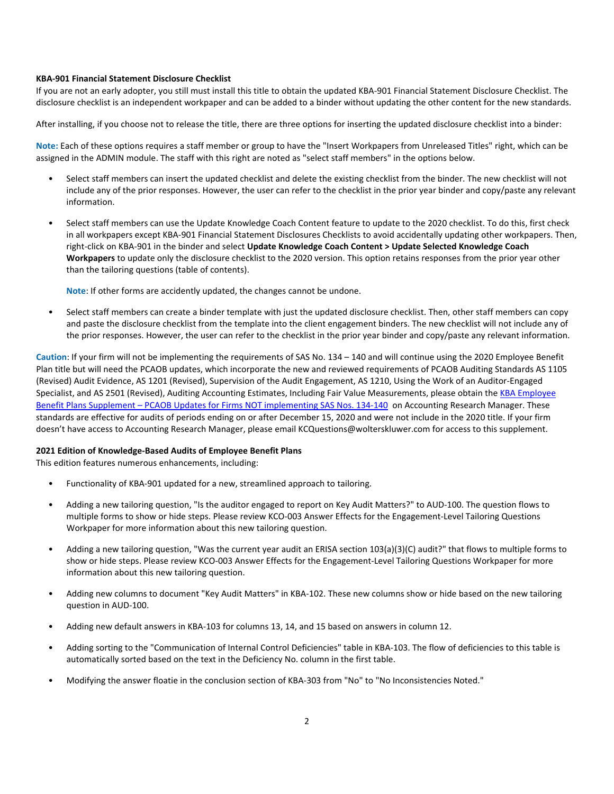#### **KBA-901 Financial Statement Disclosure Checklist**

If you are not an early adopter, you still must install this title to obtain the updated KBA-901 Financial Statement Disclosure Checklist. The disclosure checklist is an independent workpaper and can be added to a binder without updating the other content for the new standards.

After installing, if you choose not to release the title, there are three options for inserting the updated disclosure checklist into a binder:

**Note:** Each of these options requires a staff member or group to have the "Insert Workpapers from Unreleased Titles" right, which can be assigned in the ADMIN module. The staff with this right are noted as "select staff members" in the options below.

- Select staff members can insert the updated checklist and delete the existing checklist from the binder. The new checklist will not include any of the prior responses. However, the user can refer to the checklist in the prior year binder and copy/paste any relevant information.
- Select staff members can use the Update Knowledge Coach Content feature to update to the 2020 checklist. To do this, first check in all workpapers except KBA-901 Financial Statement Disclosures Checklists to avoid accidentally updating other workpapers. Then, right-click on KBA-901 in the binder and select **Update Knowledge Coach Content > Update Selected Knowledge Coach Workpapers** to update only the disclosure checklist to the 2020 version. This option retains responses from the prior year other than the tailoring questions (table of contents).

**Note**: If other forms are accidently updated, the changes cannot be undone.

• Select staff members can create a binder template with just the updated disclosure checklist. Then, other staff members can copy and paste the disclosure checklist from the template into the client engagement binders. The new checklist will not include any of the prior responses. However, the user can refer to the checklist in the prior year binder and copy/paste any relevant information.

**Caution**: If your firm will not be implementing the requirements of SAS No. 134 – 140 and will continue using the 2020 Employee Benefit Plan title but will need the PCAOB updates, which incorporate the new and reviewed requirements of PCAOB Auditing Standards AS 1105 (Revised) Audit Evidence, AS 1201 (Revised), Supervision of the Audit Engagement, AS 1210, Using the Work of an Auditor-Engaged Specialist, and AS 2501 (Revised), Auditing Accounting Estimates, Including Fair Value Measurements, please obtain the [KBA Employee](https://www.accountingresearchmanager.com/#/combined/8BE7331E9F7E04856525867300159F4A/auditing/arm/knowledge-based-audit-guides-and-tools/toolset-supplements/arm-kbagt-knowledge-based-audits-of-employee-benefit-plans-supplemental-tool-package-pcaob-updates-for-firms-not-implementing-sas-nos-134-140)  Benefit Plans Supplement – [PCAOB Updates for Firms NOT implementing SAS Nos. 134-140](https://www.accountingresearchmanager.com/#/combined/8BE7331E9F7E04856525867300159F4A/auditing/arm/knowledge-based-audit-guides-and-tools/toolset-supplements/arm-kbagt-knowledge-based-audits-of-employee-benefit-plans-supplemental-tool-package-pcaob-updates-for-firms-not-implementing-sas-nos-134-140) on Accounting Research Manager. These standards are effective for audits of periods ending on or after December 15, 2020 and were not include in the 2020 title. If your firm doesn't have access to Accounting Research Manager, please email KCQuestions@wolterskluwer.com for access to this supplement.

#### **2021 Edition of Knowledge-Based Audits of Employee Benefit Plans**

This edition features numerous enhancements, including:

- Functionality of KBA-901 updated for a new, streamlined approach to tailoring.
- Adding a new tailoring question, "Is the auditor engaged to report on Key Audit Matters?" to AUD-100. The question flows to multiple forms to show or hide steps. Please review KCO-003 Answer Effects for the Engagement-Level Tailoring Questions Workpaper for more information about this new tailoring question.
- Adding a new tailoring question, "Was the current year audit an ERISA section 103(a)(3)(C) audit?" that flows to multiple forms to show or hide steps. Please review KCO-003 Answer Effects for the Engagement-Level Tailoring Questions Workpaper for more information about this new tailoring question.
- Adding new columns to document "Key Audit Matters" in KBA-102. These new columns show or hide based on the new tailoring question in AUD-100.
- Adding new default answers in KBA-103 for columns 13, 14, and 15 based on answers in column 12.
- Adding sorting to the "Communication of Internal Control Deficiencies" table in KBA-103. The flow of deficiencies to this table is automatically sorted based on the text in the Deficiency No. column in the first table.
- Modifying the answer floatie in the conclusion section of KBA-303 from "No" to "No Inconsistencies Noted."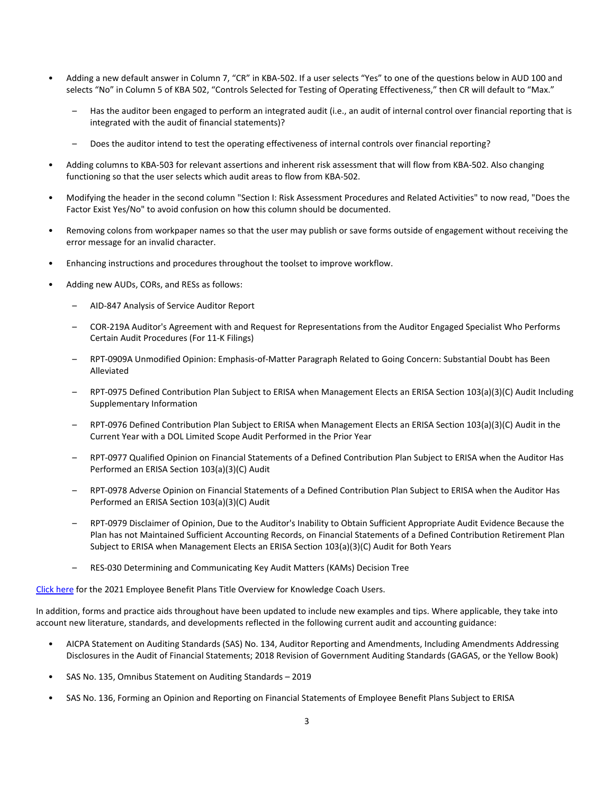- Adding a new default answer in Column 7, "CR" in KBA-502. If a user selects "Yes" to one of the questions below in AUD 100 and selects "No" in Column 5 of KBA 502, "Controls Selected for Testing of Operating Effectiveness," then CR will default to "Max."
	- Has the auditor been engaged to perform an integrated audit (i.e., an audit of internal control over financial reporting that is integrated with the audit of financial statements)?
	- Does the auditor intend to test the operating effectiveness of internal controls over financial reporting?
- Adding columns to KBA-503 for relevant assertions and inherent risk assessment that will flow from KBA-502. Also changing functioning so that the user selects which audit areas to flow from KBA-502.
- Modifying the header in the second column "Section I: Risk Assessment Procedures and Related Activities" to now read, "Does the Factor Exist Yes/No" to avoid confusion on how this column should be documented.
- Removing colons from workpaper names so that the user may publish or save forms outside of engagement without receiving the error message for an invalid character.
- Enhancing instructions and procedures throughout the toolset to improve workflow.
- Adding new AUDs, CORs, and RESs as follows:
	- AID-847 Analysis of Service Auditor Report
	- COR-219A Auditor's Agreement with and Request for Representations from the Auditor Engaged Specialist Who Performs Certain Audit Procedures (For 11-K Filings)
	- RPT-0909A Unmodified Opinion: Emphasis-of-Matter Paragraph Related to Going Concern: Substantial Doubt has Been Alleviated
	- RPT-0975 Defined Contribution Plan Subject to ERISA when Management Elects an ERISA Section 103(a)(3)(C) Audit Including Supplementary Information
	- RPT-0976 Defined Contribution Plan Subject to ERISA when Management Elects an ERISA Section 103(a)(3)(C) Audit in the Current Year with a DOL Limited Scope Audit Performed in the Prior Year
	- RPT-0977 Qualified Opinion on Financial Statements of a Defined Contribution Plan Subject to ERISA when the Auditor Has Performed an ERISA Section 103(a)(3)(C) Audit
	- RPT-0978 Adverse Opinion on Financial Statements of a Defined Contribution Plan Subject to ERISA when the Auditor Has Performed an ERISA Section 103(a)(3)(C) Audit
	- RPT-0979 Disclaimer of Opinion, Due to the Auditor's Inability to Obtain Sufficient Appropriate Audit Evidence Because the Plan has not Maintained Sufficient Accounting Records, on Financial Statements of a Defined Contribution Retirement Plan Subject to ERISA when Management Elects an ERISA Section 103(a)(3)(C) Audit for Both Years
	- RES-030 Determining and Communicating Key Audit Matters (KAMs) Decision Tree

[Click here](http://support.cch.com/updates/KnowledgeCoach/pdf/guides_tab/2021%20Employee%20Benefit%20Plans%20Title%20Overview%20for%20Knowledge%20Coach%20Users.pdf) for the 2021 Employee Benefit Plans Title Overview for Knowledge Coach Users.

In addition, forms and practice aids throughout have been updated to include new examples and tips. Where applicable, they take into account new literature, standards, and developments reflected in the following current audit and accounting guidance:

- AICPA Statement on Auditing Standards (SAS) No. 134, Auditor Reporting and Amendments, Including Amendments Addressing Disclosures in the Audit of Financial Statements; 2018 Revision of Government Auditing Standards (GAGAS, or the Yellow Book)
- SAS No. 135, Omnibus Statement on Auditing Standards 2019
- SAS No. 136, Forming an Opinion and Reporting on Financial Statements of Employee Benefit Plans Subject to ERISA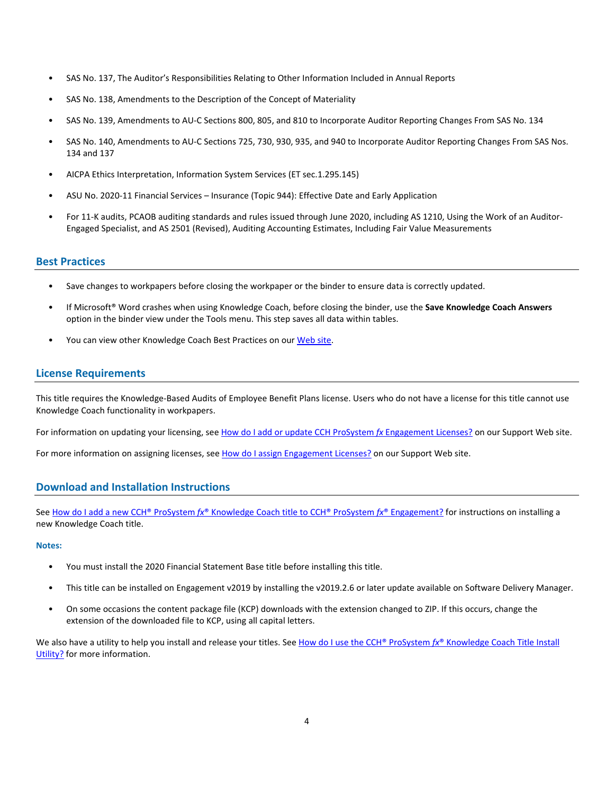- SAS No. 137, The Auditor's Responsibilities Relating to Other Information Included in Annual Reports
- SAS No. 138, Amendments to the Description of the Concept of Materiality
- SAS No. 139, Amendments to AU-C Sections 800, 805, and 810 to Incorporate Auditor Reporting Changes From SAS No. 134
- SAS No. 140, Amendments to AU-C Sections 725, 730, 930, 935, and 940 to Incorporate Auditor Reporting Changes From SAS Nos. 134 and 137
- AICPA Ethics Interpretation, Information System Services (ET sec.1.295.145)
- ASU No. 2020-11 Financial Services Insurance (Topic 944): Effective Date and Early Application
- For 11-K audits, PCAOB auditing standards and rules issued through June 2020, including AS 1210, Using the Work of an Auditor-Engaged Specialist, and AS 2501 (Revised), Auditing Accounting Estimates, Including Fair Value Measurements

## **Best Practices**

- Save changes to workpapers before closing the workpaper or the binder to ensure data is correctly updated.
- If Microsoft® Word crashes when using Knowledge Coach, before closing the binder, use the **Save Knowledge Coach Answers** option in the binder view under the Tools menu. This step saves all data within tables.
- You can view other Knowledge Coach Best Practices on ou[r Web](https://support.cch.com/kb/solution/000034942/sw34947) site.

## **License Requirements**

This title requires the Knowledge-Based Audits of Employee Benefit Plans license. Users who do not have a license for this title cannot use Knowledge Coach functionality in workpapers.

For information on updating your licensing, see [How do I add or update CCH ProSystem](https://support.cch.com/kb/solution.aspx/sw3937) fx Engagement Licenses? on our Support Web site.

For more information on assigning licenses, see [How do I assign Engagement Licenses?](https://support.cch.com/kb/solution.aspx/sw3943) on our Support Web site.

# **Download and Installation Instructions**

See How do I add a new CCH® ProSystem *fx*[® Knowledge Coach title to CCH® ProSystem](https://support.cch.com/kb/solution/000033707/sw30271) *fx*® Engagement? for instructions on installing a new Knowledge Coach title.

### **Notes:**

- You must install the 2020 Financial Statement Base title before installing this title.
- This title can be installed on Engagement v2019 by installing the v2019.2.6 or later update available on Software Delivery Manager.
- On some occasions the content package file (KCP) downloads with the extension changed to ZIP. If this occurs, change the extension of the downloaded file to KCP, using all capital letters.

We also have a utility to help you install and release your titles. See [How do I use the CCH® ProSystem](https://support.cch.com/kb/solution/000096965/000096965) fx® Knowledge Coach Title Install [Utility?](https://support.cch.com/kb/solution/000096965/000096965) for more information.